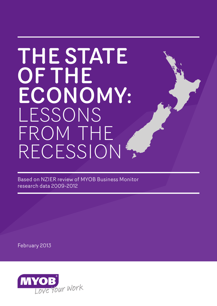# THE STATE OF THE ECONOMY: LESSONS FROM THE RECESSION

Based on NZIER review of MYOB Business Monitor research data 2009-2012

February 2013

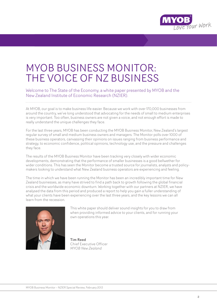

### MYOB BUSINESS MONITOR: THE VOICE OF NZ BUSINESS

### Welcome to The State of the Economy, a white paper presented by MYOB and the New Zealand Institute of Economic Research (NZIER).

At MYOB, our goal is to make business life easier. Because we work with over 170,000 businesses from around the country, we've long understood that advocating for the needs of small to medium enterprises is very important. Too often, business owners are not given a voice, and not enough effort is made to really understand the unique challenges they face.

For the last three years, MYOB has been conducting the MYOB Business Monitor, New Zealand's largest regular survey of small and medium business owners and managers. The Monitor polls over 1000 of these business operators, canvassing their opinions on issues ranging from business performance and strategy, to economic confidence, political opinions, technology use, and the pressure and challenges they face.

The results of the MYOB Business Monitor have been tracking very closely with wider economic developments, demonstrating that the performance of smaller businesses is a good bellwether for wider conditions. This has seen the Monitor become a trusted source for journalists, analysts and policymakers looking to understand what New Zealand business operators are experiencing and feeling.

The time in which we have been running the Monitor has been an incredibly important time for New Zealand businesses, as many have strived to find a path back to growth following the global financial crisis and the worldwide economic downturn. Working together with our partners at NZIER, we have analysed the data from this period and produced a report to help you gain a fuller understanding of what your clients have been experiencing over the last three years, and the key lessons we can all learn from the recession.



This white paper should deliver sound insights for you to draw from when providing informed advice to your clients, and for running your own operations this year.

Tim Reed Chief Executive Officer *MYOB New Zealand*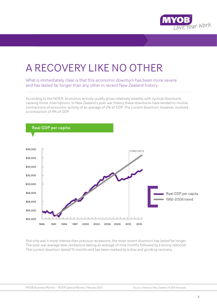

## A RECOVERY LIKE NO OTHER

What is immediately clear is that this economic downturn has been more severe and has lasted far longer than any other in recent New Zealand history.

According to the NZIER, economic activity usually grows relatively steadily, with cyclical downturns causing minor interruptions. In New Zealand's post-war history these downturns have tended to involve contractions of economic activity of an average of 2% of GDP. The current downturn, however, involved a contraction of 4% of GDP.



Not only was it more intense than previous recessions, the most recent downturn has lasted far longer. The post-war average sees recessions lasting an average of nine months followed by a strong rebound. The current downturn lasted 15 months and has been marked by a slow and grinding recovery.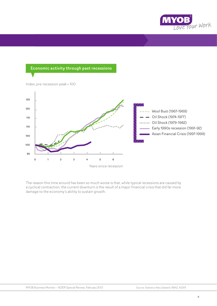

### Economic activity through past recessions



The reason this time around has been so much worse is that, while typical recessions are caused by a cyclical contraction, the current downturn is the result of a major financial crisis that did far more damage to the economy's ability to sustain growth.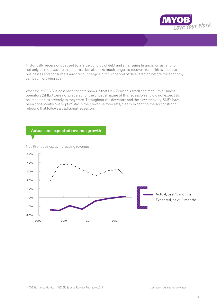

Historically, recessions caused by a large build up of debt and an ensuing financial crisis tend to not only be more severe than normal, but also take much longer to recover from. This is because businesses and consumers must first undergo a difficult period of deleveraging before the economy can begin growing again.

What the MYOB Business Monitor data shows is that New Zealand's small and medium business operators (SMEs) were not prepared for the unusual nature of this recession and did not expect to be impacted as severely as they were. Throughout the downturn and the slow recovery, SMEs have been consistently over-optimistic in their revenue forecasts, clearly expecting the sort of strong rebound that follows a traditional recession.

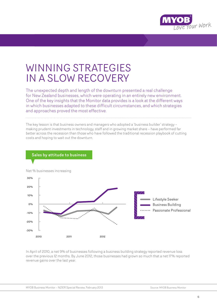

### WINNING STRATEGIES IN A SLOW RECOVERY

The unexpected depth and length of the downturn presented a real challenge for New Zealand businesses, which were operating in an entirely new environment. One of the key insights that the Monitor data provides is a look at the different ways in which businesses adapted to these difficult circumstances, and which strategies and approaches proved the most effective.

The key lesson is that business owners and managers who adopted a 'business builder' strategy – making prudent investments in technology, staff and in growing market share – have performed far better across the recession than those who have followed the traditional recession playbook of cutting costs and hoping to wait out the downturn.



In April of 2010, a net 9% of businesses following a business building strategy reported revenue loss over the previous 12 months. By June 2012, those businesses had grown so much that a net 17% reported revenue gains over the last year.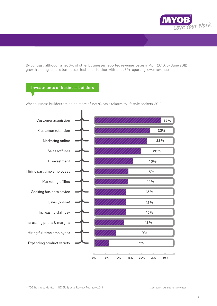

By contrast, although a net 6% of other businesses reported revenue losses in April 2010, by June 2012 growth amongst these businesses had fallen further, with a net 8% reporting lower revenue.

### Investments of business builders

What business builders are doing more of, net % basis relative to lifestyle seekers, 2012

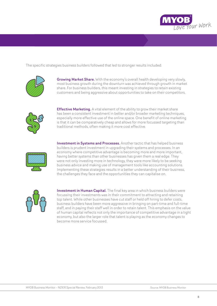

The specific strategies business builders followed that led to stronger results included:



**Growing Market Share.** With the economy's overall health developing very slowly, most business growth during the downturn was achieved through growth in market share. For business builders, this meant investing in strategies to retain existing customers and being aggressive about opportunities to take on their competitors.



**Effective Marketing.** A vital element of the ability to grow their market share has been a consistent investment in better and/or broader marketing techniques, especially more effective use of the online space. One benefit of online marketing is that it can be comparatively cheap and allows for more focussed targeting than traditional methods, often making it more cost effective.



Investment in Systems and Processes. Another tactic that has helped business builders is prudent investment in upgrading their systems and processes. In an economy where competitive advantage is becoming more and more important, having better systems than other businesses has given them a real edge. They were not only investing more in technology, they were more likely to be seeking business advice and making use of management tools like accounting solutions. Implementing these strategies results in a better understanding of their business, the challenges they face and the opportunities they can capitalise on.



**Investment in Human Capital.** The final key area in which business builders were focussing their investments was in their commitment to attracting and retaining top talent. While other businesses have cut staff or held off hiring to defer costs, business builders have been more aggressive in bringing on part-time and full-time staff, and in paying their staff well in order to retain talent. This emphasis on the value of human capital reflects not only the importance of competitive advantage in a tight economy, but also the larger role that talent is playing as the economy changes to become more service focussed.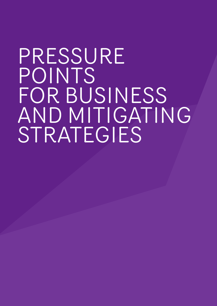# PRESSURE POINTS FOR BUSINESS AND MITIGATING STRATEGIES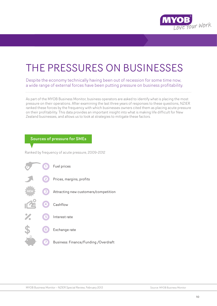

## THE PRESSURES ON BUSINESSES

Despite the economy technically having been out of recession for some time now, a wide range of external forces have been putting pressure on business profitability.

As part of the MYOB Business Monitor, business operators are asked to identify what is placing the most pressure on their operations. After examining the last three years of responses to these questions, NZIER ranked these forces by the frequency with which businesses owners cited them as placing acute pressure on their profitability. This data provides an important insight into what is making life difficult for New Zealand businesses, and allows us to look at strategies to mitigate these factors.

#### Sources of pressure for SMEs

Ranked by frequency of acute pressure, 2009-2012

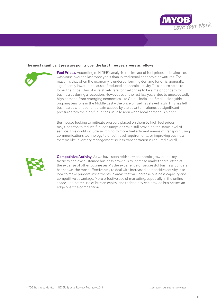

#### The most significant pressure points over the last three years were as follows:



**Fuel Prices.** According to NZIER's analysis, the impact of fuel prices on businesses was worse over the last three years than in traditional economic downturns. The reason is that when the economy is underperforming demand for oil is, generally, significantly lowered because of reduced economic activity. This in turn helps to lower the price. Thus, it is relatively rare for fuel prices to be a major concern for businesses during a recession. However, over the last few years, due to unexpectedly high demand from emerging economies like China, India and Brazil – alongside ongoing tensions in the Middle East – the price of fuel has stayed high. This has left businesses with economic pain caused by the downturn, alongside significant pressure from the high fuel prices usually seen when local demand is higher.

Businesses looking to mitigate pressure placed on them by high fuel prices may find ways to reduce fuel consumption while still providing the same level of service. This could include switching to more fuel efficient means of transport, using communications technology to offset travel requirements, or improving business systems like inventory management so less transportation is required overall.



**Competitive Activity.** As we have seen, with slow economic growth one key tactic to achieve sustained business growth is to increase market share, often at the expense of other businesses. As the experience of successful business builders has shown, the most effective way to deal with increased competitive activity is to look to make prudent investments in areas that will increase business capacity and competitive advantage. More effective use of marketing, especially in the online space, and better use of human capital and technology can provide businesses an edge over the competition.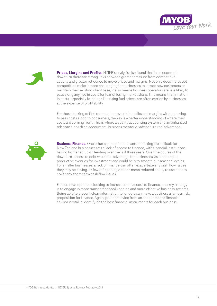



**Prices. Margins and Profits.** NZIER's analysis also found that in an economic downturn there are strong links between greater pressure from competitive activity and greater reticence to move prices and margins. Not only does increased competition make it more challenging for businesses to attract new customers or maintain their existing client base, it also means business operators are less likely to pass along any rise in costs for fear of losing market share. This means that inflation in costs, especially for things like rising fuel prices, are often carried by businesses at the expense of profitability.

For those looking to find room to improve their profits and margins without having to pass costs along to consumers, the key is a better understanding of where their costs are coming from. This is where a quality accounting system and an enhanced relationship with an accountant, business mentor or advisor is a real advantage.



**Business Finance.** One other aspect of the downturn making life difficult for New Zealand businesses was a lack of access to finance, with financial institutions having tightened up on lending over the last three years. Over the course of the downturn, access to debt was a real advantage for businesses, as it opened up productive avenues for investment and could help to smooth out seasonal cycles. For smaller businesses, a lack of finance can often exacerbate any cash flow issues they may be having, as fewer financing options mean reduced ability to use debt to cover any short-term cash flow issues.

For business operators looking to increase their access to finance, one key strategy is to engage in more transparent bookkeeping and more effective business systems. Being able to present clear information to lenders can make a business a far less risky proposition for finance. Again, prudent advice from an accountant or financial advisor is vital in identifying the best financial instruments for each business.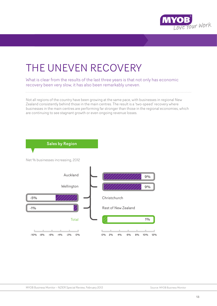

## THE UNEVEN RECOVERY

What is clear from the results of the last three years is that not only has economic recovery been very slow, it has also been remarkably uneven.

Not all regions of the country have been growing at the same pace, with businesses in regional New Zealand consistently behind those in the main centres. The result is a 'two-speed' recovery where businesses in the main centres are performing far stronger than those in the regional economies, which are continuing to see stagnant growth or even ongoing revenue losses.

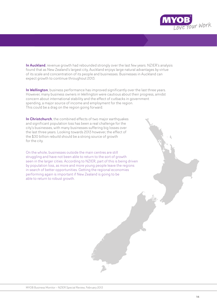

In Auckland, revenue growth had rebounded strongly over the last few years. NZIER's analysis found that as New Zealand's largest city, Auckland enjoys large natural advantages by virtue of its scale and concentration of its people and businesses. Businesses in Auckland can expect growth to continue throughout 2013.

In Wellington, business performance has improved significantly over the last three years. However, many business owners in Wellington were cautious about their progress, amidst concern about international stability and the effect of cutbacks in government spending, a major source of income and employment for the region. This could be a drag on the region going forward.

In Christchurch, the combined effects of two major earthquakes and significant population loss has been a real challenge for the city's businesses, with many businesses suffering big losses over the last three years. Looking towards 2013 however, the effect of the \$30 billion rebuild should be a strong source of growth for the city.

On the whole, businesses outside the main centres are still struggling and have not been able to return to the sort of growth seen in the larger cities. According to NZIER, part of this is being driven by population loss, as more and more young people leave the regions in search of better opportunities. Getting the regional economies performing again is important if New Zealand is going to be able to return to robust growth.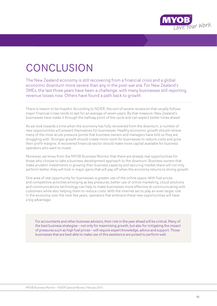

## CONCLUSION

The New Zealand economy is still recovering from a financial crisis and a global economic downturn more severe than any in the post-war era. For New Zealand's SMEs, the last three years have been a challenge, with many businesses still reporting revenue losses now. Others have found a path back to growth.

There is reason to be hopeful. According to NZIER, the sort of severe recession that usually follows major financial crises tends to last for an average of seven years. By that measure, New Zealand's businesses have made it through the halfway point of the cycle and can expect better times ahead.

As we look towards a time when the economy has fully recovered from the downturn, a number of new opportunities will present themselves for businesses. Healthy economic growth should relieve many of the most acute pressure points that business owners and managers have told us they are struggling with. Stronger growth should create more room for businesses to reduce costs and grow their profit margins. A recovered financial sector should make more capital available for business operators who want to invest.

Moreover, we know from the MYOB Business Monitor that there are already real opportunities for those who choose to take a business development approach to the downturn. Business owners that make prudent investments in growing their business capacity and securing market share will not only perform better, they will lock in major gains that will pay off when the economy returns to strong growth.

One area of real opportunity for businesses is greater use of the online space. With fuel prices and competitive activities emerging as key pressures, better use of online marketing, cloud solutions and communications technology can help to make businesses more effective at communicating with customers while also helping them to reduce costs. With the internet set to play an even larger role in the economy over the next few years, operators that embrace these new opportunities will have a big advantage.

For accountants and other business advisors, their role in the year ahead will be critical. Many of the best business strategies – not only for maximising growth, but also for mitigating the impact of pressures such as high fuel prices – will require expert knowledge, advice and support. Those businesses that are best able to make use of this assistance are poised to perform well.